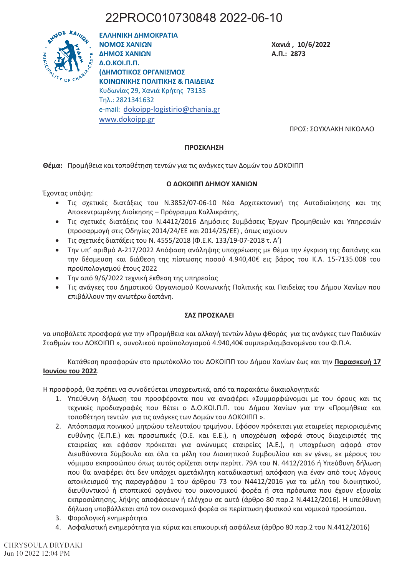# 22PROC010730848 2022-06-10



ΕΛΛΗΝΙΚΗ ΔΗΜΟΚΡΑΤΙΑ ΝΟΜΟΣ ΧΑΝΙΩΝ ΔΗΜΟΣ ΧΑΝΙΩΝ **Д.О.КОІ.П.П.** (ΔΗΜΟΤΙΚΟΣ ΟΡΓΑΝΙΣΜΟΣ ΚΟΙΝΟΝΙΚΗΣ ΠΟΛΙΤΙΚΗΣ & ΠΑΙΛΕΙΑΣ Κυδωνίας 29, Χανιά Κρήτης 73135 Tηλ.: 2821341632 e-mail: dokoipp-logistirio@chania.gr www.dokoipp.gr

Χανιά, 10/6/2022 А.П.: 2873

ΠΡΟΣ: ΣΟΥΧΛΑΚΗ ΝΙΚΟΛΑΟ

### ΠΡΟΣΚΛΗΣΗ

Θέμα: Προμήθεια και τοποθέτηση τεντών για τις ανάγκες των Δομών του ΔΟΚΟΙΠΠ

### Ο ΔΟΚΟΙΠΠ ΔΗΜΟΥ ΧΑΝΙΩΝ

Έχοντας υπόψη:

- · Τις σχετικές διατάξεις του N.3852/07-06-10 Νέα Αρχιτεκτονική της Αυτοδιοίκησης και της Αποκεντρωμένης Διοίκησης – Πρόγραμμα Καλλικράτης,
- Τις σχετικές διατάξεις του Ν.4412/2016 Δημόσιες Συμβάσεις Έργων Προμηθειών και Υπηρεσιών (προσαρμογή στις Οδηγίες 2014/24/ΕΕ και 2014/25/ΕΕ), όπως ισχύουν
- Τις σχετικές διατάξεις του Ν. 4555/2018 (Φ.Ε.Κ. 133/19-07-2018 τ. Α')
- Την υπ' αριθμό Α-217/2022 Απόφαση ανάληψης υποχρέωσης με θέμα την έγκριση της δαπάνης και την δέσμευση και διάθεση της πίστωσης ποσού 4.940,40€ εις βάρος του Κ.Α. 15-7135.008 του προϋπολογισμού έτους 2022
- Την από 9/6/2022 τεχνική έκθεση της υπηρεσίας
- Τις ανάγκες του Δημοτικού Οργανισμού Κοινωνικής Πολιτικής και Παιδείας του Δήμου Χανίων που επιβάλλουν την ανωτέρω δαπάνη.

### ΣΑΣ ΠΡΟΣΚΑΛΕΙ

να υποβάλετε προσφορά για την «Προμήθεια και αλλαγή τεντών λόγω φθοράς για τις ανάγκες των Παιδικών Σταθμών του ΔΟΚΟΙΠΠ », συνολικού προϋπολογισμού 4.940,40€ συμπεριλαμβανομένου του Φ.Π.Α.

Κατάθεση προσφορών στο πρωτόκολλο του ΔΟΚΟΙΠΠ του Δήμου Χανίων έως και την **Παρασκευή 17** Ιουνίου του 2022.

Η προσφορά, θα πρέπει να συνοδεύεται υποχρεωτικά, από τα παρακάτω δικαιολονητικά;

- 1. Υπεύθυνη δήλωση του προσφέροντα που να αναφέρει «Συμμορφώνομαι με του όρους και τις τεχνικές προδιαγραφές που θέτει ο Δ.Ο.ΚΟΙ.Π.Π. του Δήμου Χανίων για την «Προμήθεια και τοποθέτηση τεντών για τις ανάγκες των Δομών του ΔΟΚΟΙΠΠ ».
- 2. Απόσπασμα ποινικού μητρώου τελευταίου τριμήνου. Εφόσον πρόκειται για εταιρείες περιορισμένης ευθύνης (Ε.Π.Ε.) και προσωπικές (Ο.Ε. και Ε.Ε.), η υποχρέωση αφορά στους διαχειριστές της εταιρείας και εφόσον πρόκειται για ανώνυμες εταιρείες (Α.Ε.), η υποχρέωση αφορά στον Διευθύνοντα Σύμβουλο και όλα τα μέλη του Διοικητικού Συμβουλίου και εν γένει, εκ μέρους του νόμιμου εκπροσώπου όπως αυτός ορίζεται στην περίπτ. 79Α του Ν. 4412/2016 ή Υπεύθυνη δήλωση που θα αναφέρει ότι δεν υπάρχει αμετάκλητη καταδικαστική απόφαση για έναν από τους λόγους αποκλεισμού της παραγράφου 1 του άρθρου 73 του Ν4412/2016 για τα μέλη του διοικητικού, διευθυντικού ή εποπτικού οργάνου του οικονομικού φορέα ή στα πρόσωπα που έχουν εξουσία εκπροσώπησης, λήψης αποφάσεων ή ελέγχου σε αυτό (άρθρο 80 παρ.2 Ν.4412/2016). Η υπεύθυνη δήλωση υποβάλλεται από τον οικονομικό φορέα σε περίπτωση φυσικού και νομικού προσώπου.
- 3. Φορολογική ενημερότητα
- 4. Ασφαλιστική ενημερότητα για κύρια και επικουρική ασφάλεια (άρθρο 80 παρ.2 του Ν.4412/2016)